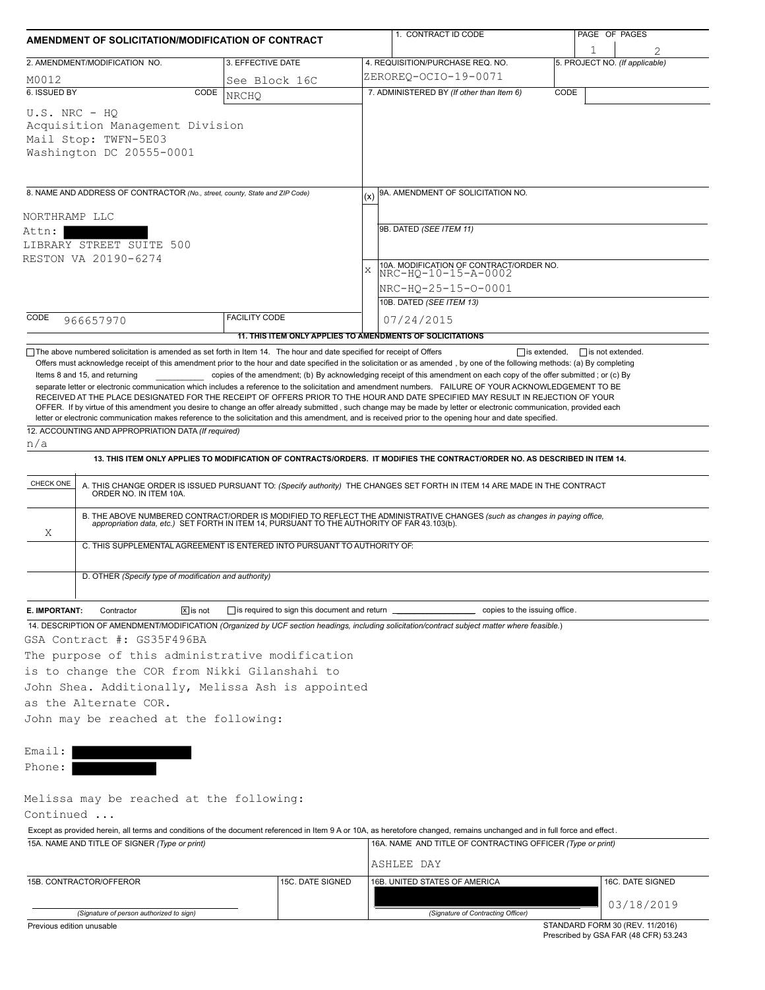| AMENDMENT OF SOLICITATION/MODIFICATION OF CONTRACT                                                                           |                         |                                                                          |             | 1. CONTRACT ID CODE                                                                                                                                                                                                                                                                                                                                                                                                                                                |                     | PAGE OF PAGES                                                            |
|------------------------------------------------------------------------------------------------------------------------------|-------------------------|--------------------------------------------------------------------------|-------------|--------------------------------------------------------------------------------------------------------------------------------------------------------------------------------------------------------------------------------------------------------------------------------------------------------------------------------------------------------------------------------------------------------------------------------------------------------------------|---------------------|--------------------------------------------------------------------------|
| 2. AMENDMENT/MODIFICATION NO.                                                                                                |                         | 3. EFFECTIVE DATE                                                        |             | 4. REQUISITION/PURCHASE REQ. NO.                                                                                                                                                                                                                                                                                                                                                                                                                                   |                     | 5. PROJECT NO. (If applicable)                                           |
| M0012                                                                                                                        |                         | See Block 16C                                                            |             | ZEROREQ-OCIO-19-0071                                                                                                                                                                                                                                                                                                                                                                                                                                               |                     |                                                                          |
| 6. ISSUED BY                                                                                                                 | CODE                    | NRCHQ                                                                    |             | 7. ADMINISTERED BY (If other than Item 6)                                                                                                                                                                                                                                                                                                                                                                                                                          | CODE                |                                                                          |
| $U.S. NRC - HO$<br>Acquisition Management Division<br>Mail Stop: TWFN-5E03<br>Washington DC 20555-0001                       |                         |                                                                          |             |                                                                                                                                                                                                                                                                                                                                                                                                                                                                    |                     |                                                                          |
| 8. NAME AND ADDRESS OF CONTRACTOR (No., street, county, State and ZIP Code)                                                  |                         |                                                                          | (x)         | 9A. AMENDMENT OF SOLICITATION NO.                                                                                                                                                                                                                                                                                                                                                                                                                                  |                     |                                                                          |
| NORTHRAMP LLC                                                                                                                |                         |                                                                          |             |                                                                                                                                                                                                                                                                                                                                                                                                                                                                    |                     |                                                                          |
| Attn:                                                                                                                        |                         |                                                                          |             | 9B. DATED (SEE ITEM 11)                                                                                                                                                                                                                                                                                                                                                                                                                                            |                     |                                                                          |
| LIBRARY STREET SUITE 500                                                                                                     |                         |                                                                          |             |                                                                                                                                                                                                                                                                                                                                                                                                                                                                    |                     |                                                                          |
| RESTON VA 20190-6274                                                                                                         |                         |                                                                          |             |                                                                                                                                                                                                                                                                                                                                                                                                                                                                    |                     |                                                                          |
|                                                                                                                              |                         |                                                                          | $\mathbf x$ | 10A. MODIFICATION OF CONTRACT/ORDER NO.<br>NRC-HQ-10-15-A-0002                                                                                                                                                                                                                                                                                                                                                                                                     |                     |                                                                          |
|                                                                                                                              |                         |                                                                          |             | NRC-HO-25-15-0-0001                                                                                                                                                                                                                                                                                                                                                                                                                                                |                     |                                                                          |
|                                                                                                                              |                         |                                                                          |             | 10B. DATED (SEE ITEM 13)                                                                                                                                                                                                                                                                                                                                                                                                                                           |                     |                                                                          |
| CODE<br>966657970                                                                                                            |                         | <b>FACILITY CODE</b>                                                     |             | 07/24/2015                                                                                                                                                                                                                                                                                                                                                                                                                                                         |                     |                                                                          |
| $\Box$ The above numbered solicitation is amended as set forth in Item 14. The hour and date specified for receipt of Offers |                         | 11. THIS ITEM ONLY APPLIES TO AMENDMENTS OF SOLICITATIONS                |             |                                                                                                                                                                                                                                                                                                                                                                                                                                                                    | $\Box$ is extended, | $\Box$ is not extended.                                                  |
| 12. ACCOUNTING AND APPROPRIATION DATA (If required)<br>n/a                                                                   |                         |                                                                          |             | RECEIVED AT THE PLACE DESIGNATED FOR THE RECEIPT OF OFFERS PRIOR TO THE HOUR AND DATE SPECIFIED MAY RESULT IN REJECTION OF YOUR<br>OFFER. If by virtue of this amendment you desire to change an offer already submitted, such change may be made by letter or electronic communication, provided each<br>letter or electronic communication makes reference to the solicitation and this amendment, and is received prior to the opening hour and date specified. |                     |                                                                          |
|                                                                                                                              |                         |                                                                          |             | 13. THIS ITEM ONLY APPLIES TO MODIFICATION OF CONTRACTS/ORDERS. IT MODIFIES THE CONTRACT/ORDER NO. AS DESCRIBED IN ITEM 14.                                                                                                                                                                                                                                                                                                                                        |                     |                                                                          |
| CHECK ONE                                                                                                                    |                         |                                                                          |             | A. THIS CHANGE ORDER IS ISSUED PURSUANT TO: (Specify authority) THE CHANGES SET FORTH IN ITEM 14 ARE MADE IN THE CONTRACT ORDER NO. IN ITEM 10A.                                                                                                                                                                                                                                                                                                                   |                     |                                                                          |
| Χ                                                                                                                            |                         | C. THIS SUPPLEMENTAL AGREEMENT IS ENTERED INTO PURSUANT TO AUTHORITY OF: |             | B. THE ABOVE NUMBERED CONTRACT/ORDER IS MODIFIED TO REFLECT THE ADMINISTRATIVE CHANGES (such as changes in paying office,<br>appropriation data, etc.) SET FORTH IN ITEM 14, PURSUANT TO THE AUTHORITY OF FAR 43.103(b).                                                                                                                                                                                                                                           |                     |                                                                          |
|                                                                                                                              |                         |                                                                          |             |                                                                                                                                                                                                                                                                                                                                                                                                                                                                    |                     |                                                                          |
| D. OTHER (Specify type of modification and authority)                                                                        |                         |                                                                          |             |                                                                                                                                                                                                                                                                                                                                                                                                                                                                    |                     |                                                                          |
| E. IMPORTANT:<br>Contractor                                                                                                  | $ \overline{x} $ is not |                                                                          |             |                                                                                                                                                                                                                                                                                                                                                                                                                                                                    |                     |                                                                          |
|                                                                                                                              |                         |                                                                          |             | 14. DESCRIPTION OF AMENDMENT/MODIFICATION (Organized by UCF section headings, including solicitation/contract subject matter where feasible.)                                                                                                                                                                                                                                                                                                                      |                     |                                                                          |
| GSA Contract #: GS35F496BA                                                                                                   |                         |                                                                          |             |                                                                                                                                                                                                                                                                                                                                                                                                                                                                    |                     |                                                                          |
| The purpose of this administrative modification                                                                              |                         |                                                                          |             |                                                                                                                                                                                                                                                                                                                                                                                                                                                                    |                     |                                                                          |
| is to change the COR from Nikki Gilanshahi to                                                                                |                         |                                                                          |             |                                                                                                                                                                                                                                                                                                                                                                                                                                                                    |                     |                                                                          |
| John Shea. Additionally, Melissa Ash is appointed                                                                            |                         |                                                                          |             |                                                                                                                                                                                                                                                                                                                                                                                                                                                                    |                     |                                                                          |
| as the Alternate COR.                                                                                                        |                         |                                                                          |             |                                                                                                                                                                                                                                                                                                                                                                                                                                                                    |                     |                                                                          |
| John may be reached at the following:                                                                                        |                         |                                                                          |             |                                                                                                                                                                                                                                                                                                                                                                                                                                                                    |                     |                                                                          |
|                                                                                                                              |                         |                                                                          |             |                                                                                                                                                                                                                                                                                                                                                                                                                                                                    |                     |                                                                          |
| Email:                                                                                                                       |                         |                                                                          |             |                                                                                                                                                                                                                                                                                                                                                                                                                                                                    |                     |                                                                          |
| Phone:                                                                                                                       |                         |                                                                          |             |                                                                                                                                                                                                                                                                                                                                                                                                                                                                    |                     |                                                                          |
| Melissa may be reached at the following:                                                                                     |                         |                                                                          |             |                                                                                                                                                                                                                                                                                                                                                                                                                                                                    |                     |                                                                          |
| Continued                                                                                                                    |                         |                                                                          |             |                                                                                                                                                                                                                                                                                                                                                                                                                                                                    |                     |                                                                          |
|                                                                                                                              |                         |                                                                          |             | Except as provided herein, all terms and conditions of the document referenced in Item 9 A or 10A, as heretofore changed, remains unchanged and in full force and effect.                                                                                                                                                                                                                                                                                          |                     |                                                                          |
| 15A. NAME AND TITLE OF SIGNER (Type or print)                                                                                |                         |                                                                          |             | 16A. NAME AND TITLE OF CONTRACTING OFFICER (Type or print)                                                                                                                                                                                                                                                                                                                                                                                                         |                     |                                                                          |
|                                                                                                                              |                         |                                                                          |             | ASHLEE DAY                                                                                                                                                                                                                                                                                                                                                                                                                                                         |                     |                                                                          |
| 15B. CONTRACTOR/OFFEROR                                                                                                      |                         | 15C. DATE SIGNED                                                         |             | 16B. UNITED STATES OF AMERICA                                                                                                                                                                                                                                                                                                                                                                                                                                      |                     | 16C. DATE SIGNED                                                         |
| (Signature of person authorized to sign)                                                                                     |                         |                                                                          |             | (Signature of Contracting Officer)                                                                                                                                                                                                                                                                                                                                                                                                                                 |                     | 03/18/2019                                                               |
| Previous edition unusable                                                                                                    |                         |                                                                          |             |                                                                                                                                                                                                                                                                                                                                                                                                                                                                    |                     | STANDARD FORM 30 (REV. 11/2016)<br>Prescribed by GSA FAR (48 CFR) 53.243 |